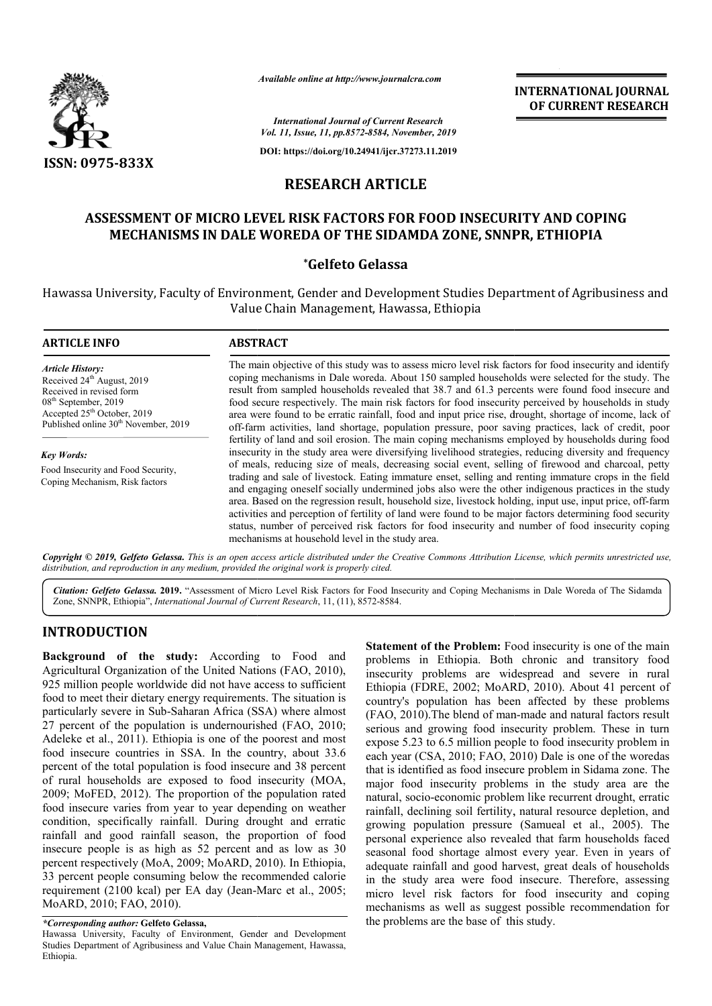

*Available online at http://www.journalcra.com*

**INTERNATIONAL JOURNAL OF CURRENT RESEARCH**

*International Journal of Current Research Vol. 11, Issue, 11, pp.8572-8584, November, 2019*

**DOI: https://doi.org/10.24941/ijcr.37273.11.2019**

# **RESEARCH ARTICLE**

# **ASSESSMENT OF MICRO LEVEL RISK FACTORS FOR FOOD INSECURITY AND COPING MECHANISMS IN DALE WOREDA OF THE SIDAMDA ZONE, SNNPR, ETHIOPIA ZONE, SNNPR,**

## **\*Gelfeto Gelassa**

Hawassa University, Faculty of Environment, Gender and Development Studies Department of Agribusiness and Value Chain Management, Hawassa, Ethiopia

| <b>ARTICLE INFO</b>                                                                                                                                                                                          | <b>ABSTRACT</b>                                                                                                                                                                                                                                                                                                                                                                                                                                                                                                                                                                                                                                                                                                                                                                                                                                                                                                    |
|--------------------------------------------------------------------------------------------------------------------------------------------------------------------------------------------------------------|--------------------------------------------------------------------------------------------------------------------------------------------------------------------------------------------------------------------------------------------------------------------------------------------------------------------------------------------------------------------------------------------------------------------------------------------------------------------------------------------------------------------------------------------------------------------------------------------------------------------------------------------------------------------------------------------------------------------------------------------------------------------------------------------------------------------------------------------------------------------------------------------------------------------|
| <b>Article History:</b><br>Received 24 <sup>th</sup> August, 2019<br>Received in revised form<br>$08th$ September, 2019<br>Accepted $25th$ October, 2019<br>Published online 30 <sup>th</sup> November, 2019 | The main objective of this study was to assess micro level risk factors for food insecurity and identify<br>coping mechanisms in Dale woreda. About 150 sampled households were selected for the study. The<br>result from sampled households revealed that 38.7 and 61.3 percents were found food insecure and<br>food secure respectively. The main risk factors for food insecurity perceived by households in study<br>area were found to be erratic rainfall, food and input price rise, drought, shortage of income, lack of<br>off-farm activities, land shortage, population pressure, poor saving practices, lack of credit, poor                                                                                                                                                                                                                                                                         |
| <b>Key Words:</b><br>Food Insecurity and Food Security,<br>Coping Mechanism, Risk factors                                                                                                                    | fertility of land and soil erosion. The main coping mechanisms employed by households during food<br>insecurity in the study area were diversifying livelihood strategies, reducing diversity and frequency<br>of meals, reducing size of meals, decreasing social event, selling of firewood and charcoal, petty<br>trading and sale of livestock. Eating immature enset, selling and renting immature crops in the field<br>and engaging oneself socially undermined jobs also were the other indigenous practices in the study<br>area. Based on the regression result, household size, livestock holding, input use, input price, off-farm<br>activities and perception of fertility of land were found to be major factors determining food security<br>status, number of perceived risk factors for food insecurity and number of food insecurity coping<br>mechanisms at household level in the study area. |

Copyright © 2019, Gelfeto Gelassa. This is an open access article distributed under the Creative Commons Attribution License, which permits unrestricted use, *distribution, and reproduction in any medium, provided the original work is properly cited.*

Citation: Gelfeto Gelassa. 2019. "Assessment of Micro Level Risk Factors for Food Insecurity and Coping Mechanisms in Dale Woreda of The Sidamda Zone, SNNPR, Ethiopia", *International Journal of Current Research*, 11, (11), 8572-8584.

## **INTRODUCTION**

**Background of the study:** According to Food and Agricultural Organization of the United Nations (FAO, 2010), 925 million people worldwide did not have access to sufficient food to meet their dietary energy requirements. The situation is particularly severe in Sub-Saharan Africa (SSA) where almost 27 percent of the population is undernourished (FAO, 2010; Adeleke et al., 2011). Ethiopia is one of the poorest and most food insecure countries in SSA. In the country, about 33.6 percent of the total population is food insecure and 38 percent of rural households are exposed to food insecurity 2009; MoFED, 2012). The proportion of the population rated food insecure varies from year to year depending on weather condition, specifically rainfall. During drought and erratic rainfall and good rainfall season, the proportion of food insecure people is as high as 52 percent and as low as 30 percent respectively (MoA, 2009; MoARD, 2010). In Ethiopia, 33 percent people consuming below the recommended calorie requirement (2100 kcal) per EA day (Jean-Marc et al., 2005; MoARD, 2010; FAO, 2010). larly severe in Sub-Saharan Africa (SSA) where almost<br>cent of the population is undernourished (FAO, 2010;<br>te et al., 2011). Ethiopia is one of the poorest and most<br>nsecure countries in SSA. In the country, about 33.6<br>t of

*\*Corresponding author:* **Gelfeto Gelassa,**

**Statement of the Problem:** Food insecurity is one of the main problems in Ethiopia. Both chronic and transitory food insecurity problems are widespread and severe in rural Ethiopia (FDRE, 2002; MoARD, 2010). About 41 percent of country's population has been affected by these problems (FAO, 2010). The blend of man-made and natural factors result serious and growing food insecurity problem. These in turn expose 5.23 to 6.5 million people to food insecurity problem in each year (CSA, 2010; FAO, 2010) Dale is one of the woredas that is identified as food insecure problem in Sidama zone. The major food insecurity problems in the study area are the natural, socio-economic problem like recurrent drought, erratic rainfall, declining soil fertility, natural resource depletion, and growing population pressure (Samueal et al., 2005). The personal experience also revealed that farm households faced seasonal food shortage almost every year. Even in years of adequate rainfall and good harvest, great deals of households in the study area were food insecure. Therefore, assessing micro level risk factors for food insecurity and coping mechanisms as well as suggest possible recommendation for the problems are the base of this study. a. Both chronic and transitory food<br>are widespread and severe in rural<br>:; MoARD, 2010). About 41 percent of growing food insecurity problem. These in<br>co 6.5 million people to food insecurity problem<br>SA, 2010; FAO, 2010) Dale is one of the word<br>ied as food insecure problem in Sidama zone.<br>insecurity problems in the study area are experience also revealed that farm households faced<br>food shortage almost every year. Even in years of<br>rainfall and good harvest, great deals of households<br>udy area were food insecure. Therefore, assessing **INTERNATIONAL JOUENAL ENGATION AL JOUENAL ENGATION AL JOUENAL COF CURRENT RESEARCH COF CURRENT RESEARCH COF CURRENT RESEARCH COF CURRENT AND COPING COF CURRENT RESEARCH (F130) (F1319) CLE CORPORATION (SMOKE) STATION AND C** 

Hawassa University, Faculty of Environment, Gender and Development Studies Department of Agribusiness and Value Chain Management, Hawassa, Ethiopia.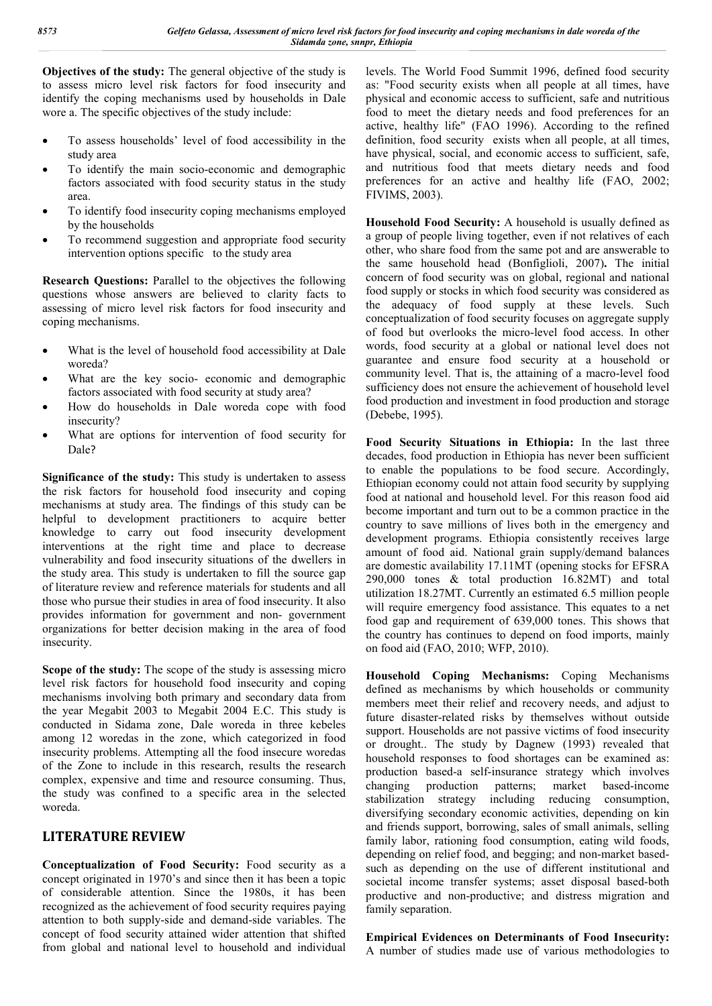**Objectives of the study:** The general objective of the study is to assess micro level risk factors for food insecurity and identify the coping mechanisms used by households in Dale wore a. The specific objectives of the study include:

- To assess households' level of food accessibility in the study area
- To identify the main socio-economic and demographic factors associated with food security status in the study area.
- To identify food insecurity coping mechanisms employed by the households
- To recommend suggestion and appropriate food security intervention options specific to the study area

**Research Questions:** Parallel to the objectives the following questions whose answers are believed to clarity facts to assessing of micro level risk factors for food insecurity and coping mechanisms.

- What is the level of household food accessibility at Dale woreda?
- What are the key socio- economic and demographic factors associated with food security at study area?
- How do households in Dale woreda cope with food insecurity?
- What are options for intervention of food security for Dale?

**Significance of the study:** This study is undertaken to assess the risk factors for household food insecurity and coping mechanisms at study area. The findings of this study can be helpful to development practitioners to acquire better knowledge to carry out food insecurity development interventions at the right time and place to decrease vulnerability and food insecurity situations of the dwellers in the study area. This study is undertaken to fill the source gap of literature review and reference materials for students and all those who pursue their studies in area of food insecurity. It also provides information for government and non- government organizations for better decision making in the area of food insecurity.

**Scope of the study:** The scope of the study is assessing micro level risk factors for household food insecurity and coping mechanisms involving both primary and secondary data from the year Megabit 2003 to Megabit 2004 E.C. This study is conducted in Sidama zone, Dale woreda in three kebeles among 12 woredas in the zone, which categorized in food insecurity problems. Attempting all the food insecure woredas of the Zone to include in this research, results the research complex, expensive and time and resource consuming. Thus, the study was confined to a specific area in the selected woreda.

## **LITERATURE REVIEW**

**Conceptualization of Food Security:** Food security as a concept originated in 1970's and since then it has been a topic of considerable attention. Since the 1980s, it has been recognized as the achievement of food security requires paying attention to both supply-side and demand-side variables. The concept of food security attained wider attention that shifted from global and national level to household and individual

levels. The World Food Summit 1996, defined food security as: "Food security exists when all people at all times, have physical and economic access to sufficient, safe and nutritious food to meet the dietary needs and food preferences for an active, healthy life" (FAO 1996). According to the refined definition, food security exists when all people, at all times, have physical, social, and economic access to sufficient, safe, and nutritious food that meets dietary needs and food preferences for an active and healthy life (FAO, 2002; FIVIMS, 2003).

**Household Food Security:** A household is usually defined as a group of people living together, even if not relatives of each other, who share food from the same pot and are answerable to the same household head (Bonfiglioli, 2007)**.** The initial concern of food security was on global, regional and national food supply or stocks in which food security was considered as the adequacy of food supply at these levels. Such conceptualization of food security focuses on aggregate supply of food but overlooks the micro-level food access. In other words, food security at a global or national level does not guarantee and ensure food security at a household or community level. That is, the attaining of a macro-level food sufficiency does not ensure the achievement of household level food production and investment in food production and storage (Debebe, 1995).

**Food Security Situations in Ethiopia:** In the last three decades, food production in Ethiopia has never been sufficient to enable the populations to be food secure. Accordingly, Ethiopian economy could not attain food security by supplying food at national and household level. For this reason food aid become important and turn out to be a common practice in the country to save millions of lives both in the emergency and development programs. Ethiopia consistently receives large amount of food aid. National grain supply/demand balances are domestic availability 17.11MT (opening stocks for EFSRA 290,000 tones & total production 16.82MT) and total utilization 18.27MT. Currently an estimated 6.5 million people will require emergency food assistance. This equates to a net food gap and requirement of 639,000 tones. This shows that the country has continues to depend on food imports, mainly on food aid (FAO, 2010; WFP, 2010).

**Household Coping Mechanisms:** Coping Mechanisms defined as mechanisms by which households or community members meet their relief and recovery needs, and adjust to future disaster-related risks by themselves without outside support. Households are not passive victims of food insecurity or drought.. The study by Dagnew (1993) revealed that household responses to food shortages can be examined as: production based-a self-insurance strategy which involves changing production patterns; market based-income changing production patterns; market based-income stabilization strategy including reducing consumption, diversifying secondary economic activities, depending on kin and friends support, borrowing, sales of small animals, selling family labor, rationing food consumption, eating wild foods, depending on relief food, and begging; and non-market basedsuch as depending on the use of different institutional and societal income transfer systems; asset disposal based-both productive and non-productive; and distress migration and family separation.

**Empirical Evidences on Determinants of Food Insecurity:**  A number of studies made use of various methodologies to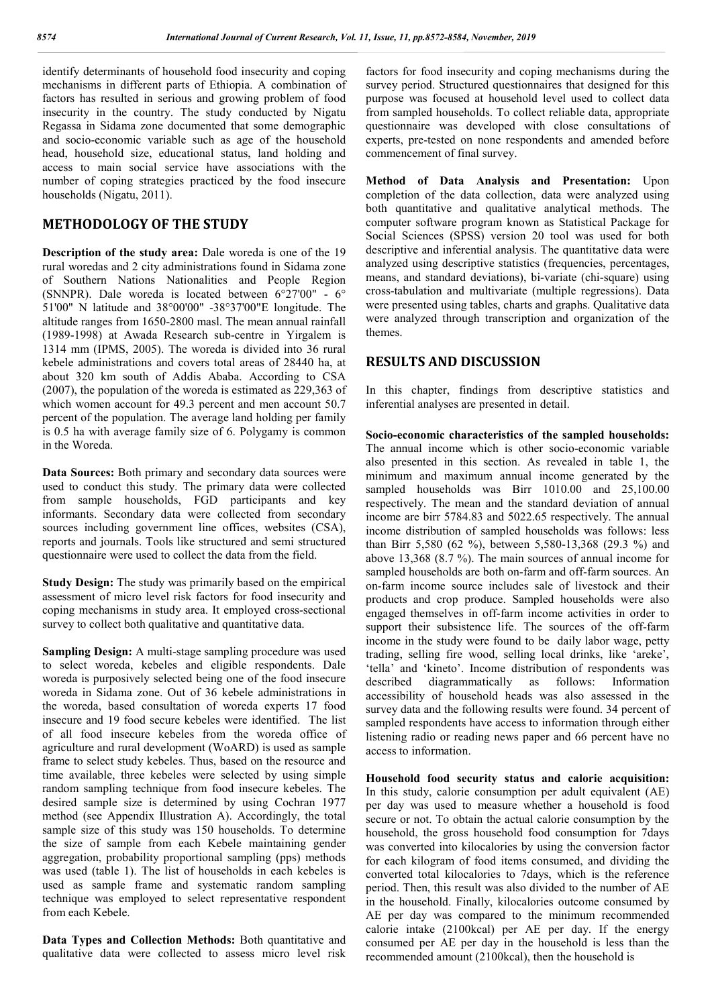identify determinants of household food insecurity and coping mechanisms in different parts of Ethiopia. A combination of factors has resulted in serious and growing problem of food insecurity in the country. The study conducted by Nigatu Regassa in Sidama zone documented that some demographic and socio-economic variable such as age of the household head, household size, educational status, land holding and access to main social service have associations with the number of coping strategies practiced by the food insecure households (Nigatu, 2011).

## **METHODOLOGY OF THE STUDY**

**Description of the study area:** Dale woreda is one of the 19 rural woredas and 2 city administrations found in Sidama zone of Southern Nations Nationalities and People Region (SNNPR). Dale woreda is located between 6°27'00" - 6° 51'00" N latitude and 38°00'00" -38°37'00"E longitude. The altitude ranges from 1650-2800 masl. The mean annual rainfall (1989-1998) at Awada Research sub-centre in Yirgalem is 1314 mm (IPMS, 2005). The woreda is divided into 36 rural kebele administrations and covers total areas of 28440 ha, at about 320 km south of Addis Ababa. According to CSA (2007), the population of the woreda is estimated as 229,363 of which women account for 49.3 percent and men account 50.7 percent of the population. The average land holding per family is 0.5 ha with average family size of 6. Polygamy is common in the Woreda.

**Data Sources:** Both primary and secondary data sources were used to conduct this study. The primary data were collected from sample households, FGD participants and key informants. Secondary data were collected from secondary sources including government line offices, websites (CSA), reports and journals. Tools like structured and semi structured questionnaire were used to collect the data from the field.

**Study Design:** The study was primarily based on the empirical assessment of micro level risk factors for food insecurity and coping mechanisms in study area. It employed cross-sectional survey to collect both qualitative and quantitative data.

**Sampling Design:** A multi-stage sampling procedure was used to select woreda, kebeles and eligible respondents. Dale woreda is purposively selected being one of the food insecure woreda in Sidama zone. Out of 36 kebele administrations in the woreda, based consultation of woreda experts 17 food insecure and 19 food secure kebeles were identified. The list of all food insecure kebeles from the woreda office of agriculture and rural development (WoARD) is used as sample frame to select study kebeles. Thus, based on the resource and time available, three kebeles were selected by using simple random sampling technique from food insecure kebeles. The desired sample size is determined by using Cochran 1977 method (see Appendix Illustration A). Accordingly, the total sample size of this study was 150 households. To determine the size of sample from each Kebele maintaining gender aggregation, probability proportional sampling (pps) methods was used (table 1). The list of households in each kebeles is used as sample frame and systematic random sampling technique was employed to select representative respondent from each Kebele.

**Data Types and Collection Methods:** Both quantitative and qualitative data were collected to assess micro level risk factors for food insecurity and coping mechanisms during the survey period. Structured questionnaires that designed for this purpose was focused at household level used to collect data from sampled households. To collect reliable data, appropriate questionnaire was developed with close consultations of experts, pre-tested on none respondents and amended before commencement of final survey.

**Method of Data Analysis and Presentation:** Upon completion of the data collection, data were analyzed using both quantitative and qualitative analytical methods. The computer software program known as Statistical Package for Social Sciences (SPSS) version 20 tool was used for both descriptive and inferential analysis. The quantitative data were analyzed using descriptive statistics (frequencies, percentages, means, and standard deviations), bi-variate (chi-square) using cross-tabulation and multivariate (multiple regressions). Data were presented using tables, charts and graphs. Qualitative data were analyzed through transcription and organization of the themes.

## **RESULTS AND DISCUSSION**

In this chapter, findings from descriptive statistics and inferential analyses are presented in detail.

**Socio-economic characteristics of the sampled households:**  The annual income which is other socio-economic variable also presented in this section. As revealed in table 1, the minimum and maximum annual income generated by the sampled households was Birr 1010.00 and 25,100.00 respectively. The mean and the standard deviation of annual income are birr 5784.83 and 5022.65 respectively. The annual income distribution of sampled households was follows: less than Birr 5,580 (62 %), between 5,580-13,368 (29.3 %) and above 13,368 (8.7 %). The main sources of annual income for sampled households are both on-farm and off-farm sources. An on-farm income source includes sale of livestock and their products and crop produce. Sampled households were also engaged themselves in off-farm income activities in order to support their subsistence life. The sources of the off-farm income in the study were found to be daily labor wage, petty trading, selling fire wood, selling local drinks, like 'areke', 'tella' and 'kineto'. Income distribution of respondents was described diagrammatically as follows: Information accessibility of household heads was also assessed in the survey data and the following results were found. 34 percent of sampled respondents have access to information through either listening radio or reading news paper and 66 percent have no access to information.

**Household food security status and calorie acquisition:**  In this study, calorie consumption per adult equivalent (AE) per day was used to measure whether a household is food secure or not. To obtain the actual calorie consumption by the household, the gross household food consumption for 7days was converted into kilocalories by using the conversion factor for each kilogram of food items consumed, and dividing the converted total kilocalories to 7days, which is the reference period. Then, this result was also divided to the number of AE in the household. Finally, kilocalories outcome consumed by AE per day was compared to the minimum recommended calorie intake (2100kcal) per AE per day. If the energy consumed per AE per day in the household is less than the recommended amount (2100kcal), then the household is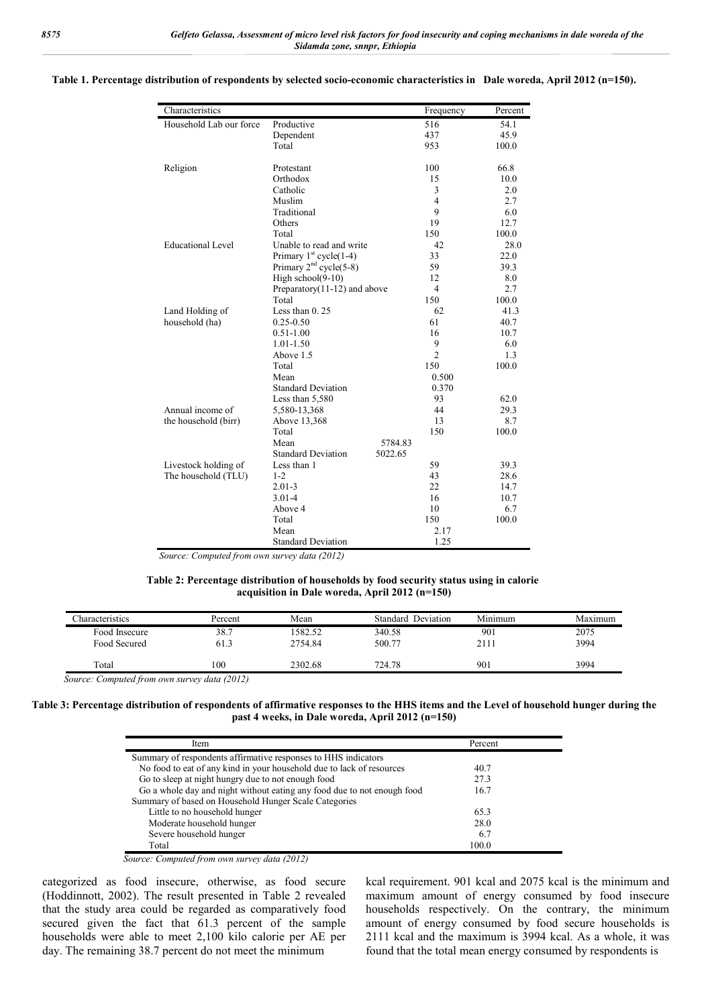| Productive<br>Dependent<br>Total<br>Protestant<br>Orthodox<br>Catholic<br>Muslim |                                                                                                                                                                                                                                                                                                                                                                                                                                 | 516<br>437<br>953<br>100<br>15                     | 54.1<br>45.9<br>100.0<br>66.8                                                                            |
|----------------------------------------------------------------------------------|---------------------------------------------------------------------------------------------------------------------------------------------------------------------------------------------------------------------------------------------------------------------------------------------------------------------------------------------------------------------------------------------------------------------------------|----------------------------------------------------|----------------------------------------------------------------------------------------------------------|
|                                                                                  |                                                                                                                                                                                                                                                                                                                                                                                                                                 |                                                    |                                                                                                          |
|                                                                                  |                                                                                                                                                                                                                                                                                                                                                                                                                                 |                                                    |                                                                                                          |
|                                                                                  |                                                                                                                                                                                                                                                                                                                                                                                                                                 |                                                    |                                                                                                          |
|                                                                                  |                                                                                                                                                                                                                                                                                                                                                                                                                                 |                                                    |                                                                                                          |
|                                                                                  |                                                                                                                                                                                                                                                                                                                                                                                                                                 |                                                    | 10.0                                                                                                     |
|                                                                                  |                                                                                                                                                                                                                                                                                                                                                                                                                                 | 3                                                  | 2.0                                                                                                      |
|                                                                                  |                                                                                                                                                                                                                                                                                                                                                                                                                                 | 4                                                  | 2.7                                                                                                      |
| Traditional                                                                      |                                                                                                                                                                                                                                                                                                                                                                                                                                 | 9                                                  | 6.0                                                                                                      |
| Others                                                                           |                                                                                                                                                                                                                                                                                                                                                                                                                                 | 19                                                 | 12.7                                                                                                     |
| Total                                                                            |                                                                                                                                                                                                                                                                                                                                                                                                                                 | 150                                                | 100.0                                                                                                    |
| Unable to read and write                                                         |                                                                                                                                                                                                                                                                                                                                                                                                                                 | 42                                                 | 28.0                                                                                                     |
|                                                                                  |                                                                                                                                                                                                                                                                                                                                                                                                                                 | 33                                                 | 22.0                                                                                                     |
|                                                                                  |                                                                                                                                                                                                                                                                                                                                                                                                                                 | 59                                                 | 39.3                                                                                                     |
|                                                                                  |                                                                                                                                                                                                                                                                                                                                                                                                                                 | 12                                                 | 8.0                                                                                                      |
|                                                                                  |                                                                                                                                                                                                                                                                                                                                                                                                                                 | $\overline{4}$                                     | 2.7                                                                                                      |
| Total                                                                            |                                                                                                                                                                                                                                                                                                                                                                                                                                 | 150                                                | 100.0                                                                                                    |
| Less than $0.25$                                                                 |                                                                                                                                                                                                                                                                                                                                                                                                                                 | 62                                                 | 41.3                                                                                                     |
| $0.25 - 0.50$                                                                    |                                                                                                                                                                                                                                                                                                                                                                                                                                 | 61                                                 | 40.7                                                                                                     |
|                                                                                  |                                                                                                                                                                                                                                                                                                                                                                                                                                 | 16                                                 | 10.7                                                                                                     |
|                                                                                  |                                                                                                                                                                                                                                                                                                                                                                                                                                 |                                                    | 6.0                                                                                                      |
|                                                                                  |                                                                                                                                                                                                                                                                                                                                                                                                                                 | $\overline{2}$                                     | 1.3                                                                                                      |
|                                                                                  |                                                                                                                                                                                                                                                                                                                                                                                                                                 |                                                    | 100.0                                                                                                    |
| Mean                                                                             |                                                                                                                                                                                                                                                                                                                                                                                                                                 |                                                    |                                                                                                          |
|                                                                                  |                                                                                                                                                                                                                                                                                                                                                                                                                                 |                                                    |                                                                                                          |
|                                                                                  |                                                                                                                                                                                                                                                                                                                                                                                                                                 |                                                    | 62.0                                                                                                     |
|                                                                                  |                                                                                                                                                                                                                                                                                                                                                                                                                                 |                                                    | 29.3                                                                                                     |
|                                                                                  |                                                                                                                                                                                                                                                                                                                                                                                                                                 |                                                    | 8.7                                                                                                      |
|                                                                                  |                                                                                                                                                                                                                                                                                                                                                                                                                                 |                                                    | 100.0                                                                                                    |
|                                                                                  |                                                                                                                                                                                                                                                                                                                                                                                                                                 |                                                    |                                                                                                          |
|                                                                                  |                                                                                                                                                                                                                                                                                                                                                                                                                                 |                                                    |                                                                                                          |
|                                                                                  |                                                                                                                                                                                                                                                                                                                                                                                                                                 |                                                    | 39.3                                                                                                     |
|                                                                                  |                                                                                                                                                                                                                                                                                                                                                                                                                                 |                                                    | 28.6                                                                                                     |
|                                                                                  |                                                                                                                                                                                                                                                                                                                                                                                                                                 |                                                    | 14.7                                                                                                     |
|                                                                                  |                                                                                                                                                                                                                                                                                                                                                                                                                                 |                                                    | 10.7                                                                                                     |
|                                                                                  |                                                                                                                                                                                                                                                                                                                                                                                                                                 |                                                    | 6.7                                                                                                      |
|                                                                                  |                                                                                                                                                                                                                                                                                                                                                                                                                                 |                                                    | 100.0                                                                                                    |
|                                                                                  |                                                                                                                                                                                                                                                                                                                                                                                                                                 |                                                    |                                                                                                          |
|                                                                                  |                                                                                                                                                                                                                                                                                                                                                                                                                                 |                                                    |                                                                                                          |
|                                                                                  | Primary $1st cycle(1-4)$<br>Primary $2nd$ cycle(5-8)<br>High school(9-10)<br>$0.51 - 1.00$<br>$1.01 - 1.50$<br>Above 1.5<br>Total<br><b>Standard Deviation</b><br>Less than 5,580<br>5,580-13,368<br>Above 13,368<br>Total<br>Mean<br><b>Standard Deviation</b><br>Less than 1<br>$1 - 2$<br>$2.01 - 3$<br>$3.01 - 4$<br>Above 4<br>Total<br>Mean<br><b>Standard Deviation</b><br>Source: Computed from own survey data (2012). | Preparatory(11-12) and above<br>5784.83<br>5022.65 | 9<br>150<br>0.500<br>0.370<br>93<br>44<br>13<br>150<br>59<br>43<br>22<br>16<br>10<br>150<br>2.17<br>1.25 |

#### **Table 1. Percentage distribution of respondents by selected socio-economic characteristics in Dale woreda, April 2012 (n=150).**

 *Source: Computed from own survey data (2012)*

#### **Table 2: Percentage distribution of households by food security status using in calorie acquisition in Dale woreda, April 2012 (n=150)**

| <b>Characteristics</b> | Percent | Mean    | Standard Deviation | Minimum | Maximum |
|------------------------|---------|---------|--------------------|---------|---------|
| Food Insecure          | 38.7    | 582.52  | 340.58             | 901     | 2075    |
| Food Secured           | 61.3    | 2754.84 | 500.77             | 2111    | 3994    |
| Total                  | 100     | 2302.68 | 724.78             | 901     | 3994    |

*Source: Computed from own survey data (2012)*

**Table 3: Percentage distribution of respondents of affirmative responses to the HHS items and the Level of household hunger during the past 4 weeks, in Dale woreda, April 2012 (n=150)**

| Item                                                                    | Percent |  |
|-------------------------------------------------------------------------|---------|--|
| Summary of respondents affirmative responses to HHS indicators          |         |  |
| No food to eat of any kind in your household due to lack of resources   | 40.7    |  |
| Go to sleep at night hungry due to not enough food                      | 27.3    |  |
| Go a whole day and night without eating any food due to not enough food | 16.7    |  |
| Summary of based on Household Hunger Scale Categories                   |         |  |
| Little to no household hunger                                           | 65.3    |  |
| Moderate household hunger                                               | 28.0    |  |
| Severe household hunger                                                 | 6.7     |  |
| Total                                                                   | 100.0   |  |

*Source: Computed from own survey data (2012)*

categorized as food insecure, otherwise, as food secure (Hoddinnott, 2002). The result presented in Table 2 revealed that the study area could be regarded as comparatively food secured given the fact that 61.3 percent of the sample households were able to meet 2,100 kilo calorie per AE per day. The remaining 38.7 percent do not meet the minimum

kcal requirement. 901 kcal and 2075 kcal is the minimum and maximum amount of energy consumed by food insecure households respectively. On the contrary, the minimum amount of energy consumed by food secure households is 2111 kcal and the maximum is 3994 kcal. As a whole, it was found that the total mean energy consumed by respondents is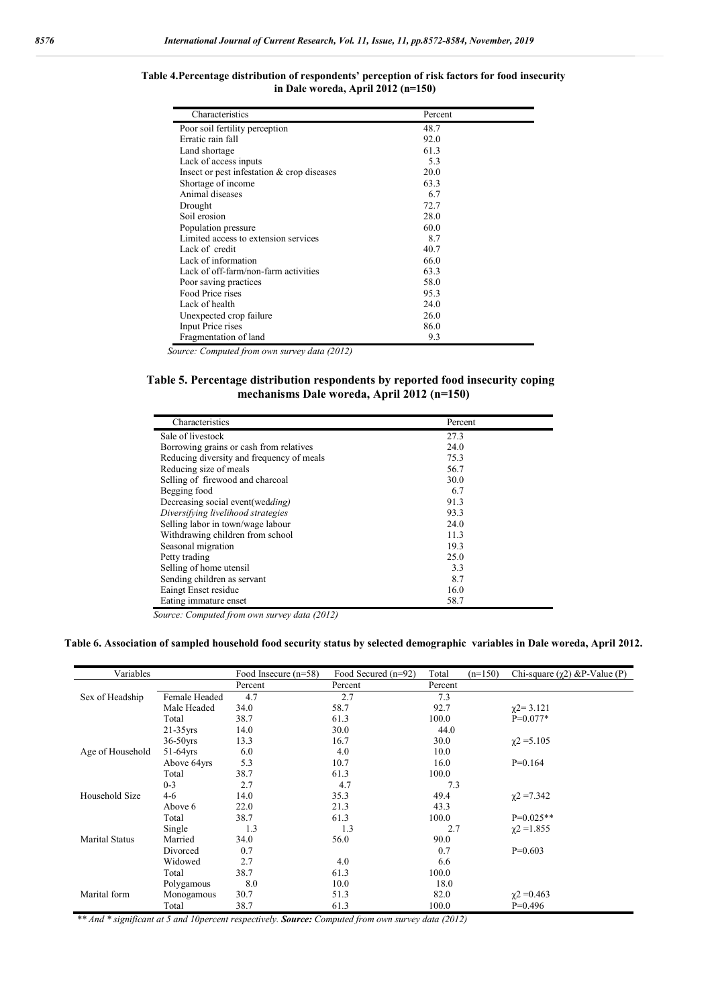| Characteristics                            | Percent |
|--------------------------------------------|---------|
| Poor soil fertility perception             | 48.7    |
| Erratic rain fall                          | 92.0    |
| Land shortage                              | 61.3    |
| Lack of access inputs                      | 5.3     |
| Insect or pest infestation & crop diseases | 20.0    |
| Shortage of income                         | 63.3    |
| Animal diseases                            | 6.7     |
| Drought                                    | 72.7    |
| Soil erosion                               | 28.0    |
| Population pressure                        | 60.0    |
| Limited access to extension services       | 8.7     |
| Lack of credit                             | 40.7    |
| Lack of information                        | 66.0    |
| Lack of off-farm/non-farm activities       | 63.3    |
| Poor saving practices                      | 58.0    |
| Food Price rises                           | 95.3    |
| Lack of health                             | 24.0    |
| Unexpected crop failure                    | 26.0    |
| Input Price rises                          | 86.0    |
| Fragmentation of land                      | 9.3     |

**Table 4.Percentage distribution of respondents' perception of risk factors for food insecurity in Dale woreda, April 2012 (n=150)**

*Source: Computed from own survey data (2012)*

### **Table 5. Percentage distribution respondents by reported food insecurity coping mechanisms Dale woreda, April 2012 (n=150)**

| Characteristics                           | Percent |  |
|-------------------------------------------|---------|--|
| Sale of livestock                         | 27.3    |  |
| Borrowing grains or cash from relatives   | 24.0    |  |
| Reducing diversity and frequency of meals | 75.3    |  |
| Reducing size of meals                    | 56.7    |  |
| Selling of firewood and charcoal          | 30.0    |  |
| Begging food                              | 6.7     |  |
| Decreasing social event(wedding)          | 91.3    |  |
| Diversifying livelihood strategies        | 93.3    |  |
| Selling labor in town/wage labour         | 24.0    |  |
| Withdrawing children from school          | 11.3    |  |
| Seasonal migration                        | 19.3    |  |
| Petty trading                             | 25.0    |  |
| Selling of home utensil                   | 3.3     |  |
| Sending children as servant               | 8.7     |  |
| Eaingt Enset residue                      | 16.0    |  |
| Eating immature enset                     | 58.7    |  |

*Source: Computed from own survey data (2012)* 

#### **Table 6. Association of sampled household food security status by selected demographic variables in Dale woreda, April 2012.**

| Variables             |               | Food Insecure $(n=58)$ | Food Secured (n=92) | Total<br>$(n=150)$ | Chi-square $(\gamma 2)$ &P-Value (P) |
|-----------------------|---------------|------------------------|---------------------|--------------------|--------------------------------------|
|                       |               | Percent                | Percent             | Percent            |                                      |
| Sex of Headship       | Female Headed | 4.7                    | 2.7                 | 7.3                |                                      |
|                       | Male Headed   | 34.0                   | 58.7                | 92.7               | $\gamma$ 2=3.121                     |
|                       | Total         | 38.7                   | 61.3                | 100.0              | $P=0.077*$                           |
|                       | $21-35$ yrs   | 14.0                   | 30.0                | 44.0               |                                      |
|                       | $36-50$ yrs   | 13.3                   | 16.7                | 30.0               | $\gamma$ 2 = 5.105                   |
| Age of Household      | $51-64$ yrs   | 6.0                    | 4.0                 | 10.0               |                                      |
|                       | Above 64yrs   | 5.3                    | 10.7                | 16.0               | $P=0.164$                            |
|                       | Total         | 38.7                   | 61.3                | 100.0              |                                      |
|                       | $0 - 3$       | 2.7                    | 4.7                 | 7.3                |                                      |
| Household Size        | $4 - 6$       | 14.0                   | 35.3                | 49.4               | $\gamma$ 2 = 7.342                   |
|                       | Above 6       | 22.0                   | 21.3                | 43.3               |                                      |
|                       | Total         | 38.7                   | 61.3                | 100.0              | $P=0.025**$                          |
|                       | Single        | 1.3                    | 1.3                 | 2.7                | $\gamma$ 2 = 1.855                   |
| <b>Marital Status</b> | Married       | 34.0                   | 56.0                | 90.0               |                                      |
|                       | Divorced      | 0.7                    |                     | 0.7                | $P=0.603$                            |
|                       | Widowed       | 2.7                    | 4.0                 | 6.6                |                                      |
|                       | Total         | 38.7                   | 61.3                | 100.0              |                                      |
|                       | Polygamous    | 8.0                    | 10.0                | 18.0               |                                      |
| Marital form          | Monogamous    | 30.7                   | 51.3                | 82.0               | $\chi$ 2 = 0.463                     |
|                       | Total         | 38.7                   | 61.3                | 100.0              | $P=0.496$                            |

 *\*\* And \* significant at 5 and 10percent respectively. Source: Computed from own survey data (2012)*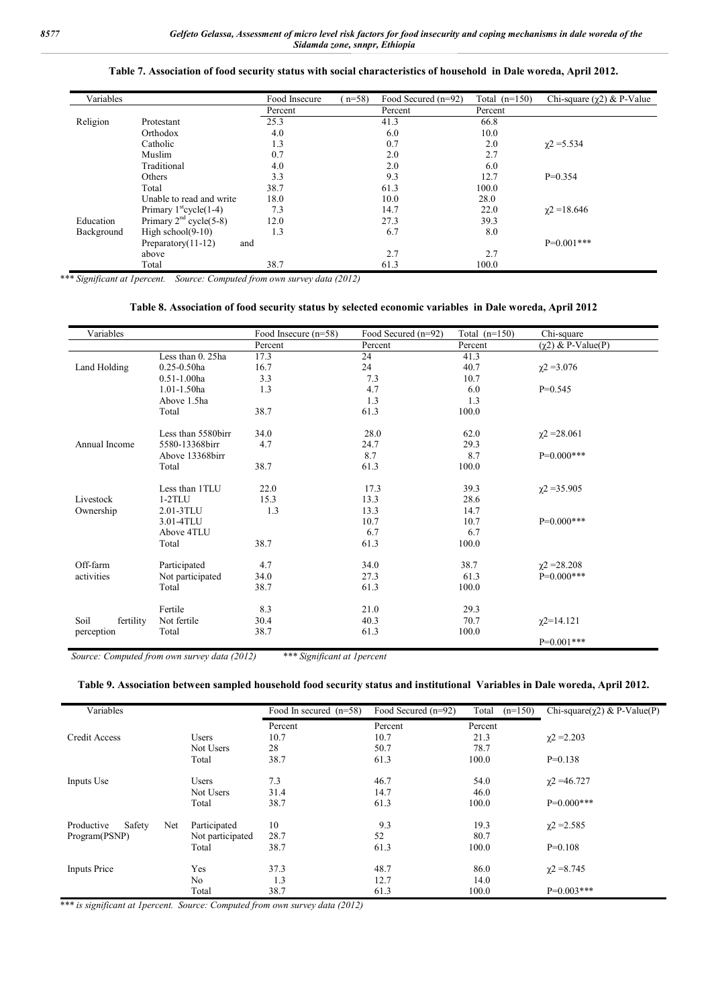| Variables  |                                    | Food Insecure | $(n=58)$<br>Food Secured $(n=92)$ | Total $(n=150)$ | Chi-square $(\gamma 2)$ & P-Value |
|------------|------------------------------------|---------------|-----------------------------------|-----------------|-----------------------------------|
|            |                                    | Percent       | Percent                           | Percent         |                                   |
| Religion   | Protestant                         | 25.3          | 41.3                              | 66.8            |                                   |
|            | Orthodox                           | 4.0           | 6.0                               | 10.0            |                                   |
|            | Catholic                           | 1.3           | 0.7                               | 2.0             | $\chi$ 2 = 5.534                  |
|            | Muslim                             | 0.7           | 2.0                               | 2.7             |                                   |
|            | Traditional                        | 4.0           | 2.0                               | 6.0             |                                   |
|            | Others                             | 3.3           | 9.3                               | 12.7            | $P=0.354$                         |
|            | Total                              | 38.7          | 61.3                              | 100.0           |                                   |
|            | Unable to read and write           | 18.0          | 10.0                              | 28.0            |                                   |
|            | Primary $1^{\text{st}}$ cycle(1-4) | 7.3           | 14.7                              | 22.0            | $\gamma$ 2 = 18.646               |
| Education  | Primary $2nd cycle(5-8)$           | 12.0          | 27.3                              | 39.3            |                                   |
| Background | High school $(9-10)$               | 1.3           | 6.7                               | 8.0             |                                   |
|            | Preparatory(11-12)<br>and          |               |                                   |                 | $P=0.001***$                      |
|            | above                              |               | 2.7                               | 2.7             |                                   |
|            | Total                              | 38.7          | 61.3                              | 100.0           |                                   |

## **Table 7. Association of food security status with social characteristics of household in Dale woreda, April 2012.**

*\*\*\* Significant at 1percent. Source: Computed from own survey data (2012)*

### **Table 8. Association of food security status by selected economic variables in Dale woreda, April 2012**

| Variables         |                    | Food Insecure $(n=58)$ | Food Secured (n=92) | Total $(n=150)$ | Chi-square                |
|-------------------|--------------------|------------------------|---------------------|-----------------|---------------------------|
|                   |                    | Percent                | Percent             | Percent         | $(\gamma 2)$ & P-Value(P) |
|                   | Less than 0. 25ha  | 17.3                   | 24                  | 41.3            |                           |
| Land Holding      | $0.25 - 0.50$ ha   | 16.7                   | 24                  | 40.7            | $\chi$ 2 = 3.076          |
|                   | $0.51 - 1.00$ ha   | 3.3                    | 7.3                 | 10.7            |                           |
|                   | $1.01 - 1.50$ ha   | 1.3                    | 4.7                 | 6.0             | $P=0.545$                 |
|                   | Above 1.5ha        |                        | 1.3                 | 1.3             |                           |
|                   | Total              | 38.7                   | 61.3                | 100.0           |                           |
|                   | Less than 5580birr | 34.0                   | 28.0                | 62.0            | $\chi$ 2 = 28.061         |
| Annual Income     | 5580-13368birr     | 4.7                    | 24.7                | 29.3            |                           |
|                   | Above 13368birr    |                        | 8.7                 | 8.7             | $P=0.000***$              |
|                   | Total              | 38.7                   | 61.3                | 100.0           |                           |
|                   | Less than 1TLU     | 22.0                   | 17.3                | 39.3            | $\gamma$ 2 = 35.905       |
| Livestock         | $1-2TLU$           | 15.3                   | 13.3                | 28.6            |                           |
| Ownership         | 2.01-3TLU          | 1.3                    | 13.3                | 14.7            |                           |
|                   | 3.01-4TLU          |                        | 10.7                | 10.7            | $P=0.000***$              |
|                   | Above 4TLU         |                        | 6.7                 | 6.7             |                           |
|                   | Total              | 38.7                   | 61.3                | 100.0           |                           |
| Off-farm          | Participated       | 4.7                    | 34.0                | 38.7            | $\chi$ 2 = 28.208         |
| activities        | Not participated   | 34.0                   | 27.3                | 61.3            | $P=0.000***$              |
|                   | Total              | 38.7                   | 61.3                | 100.0           |                           |
|                   | Fertile            | 8.3                    | 21.0                | 29.3            |                           |
| Soil<br>fertility | Not fertile        | 30.4                   | 40.3                | 70.7            | $\chi$ 2=14.121           |
|                   | Total              | 38.7                   | 61.3                | 100.0           |                           |
| perception        |                    |                        |                     |                 | $P=0.001***$              |

 *Source: Computed from own survey data (2012) \*\*\* Significant at 1percent*

#### **Table 9. Association between sampled household food security status and institutional Variables in Dale woreda, April 2012.**

| Variables                   |                  | Food In secured $(n=58)$ | Food Secured (n=92) | Total<br>$(n=150)$ | Chi-square( $\chi$ 2) & P-Value(P) |
|-----------------------------|------------------|--------------------------|---------------------|--------------------|------------------------------------|
|                             |                  | Percent                  | Percent             | Percent            |                                    |
| Credit Access               | <b>Users</b>     | 10.7                     | 10.7                | 21.3               | $\gamma$ 2 = 2.203                 |
|                             | Not Users        | 28                       | 50.7                | 78.7               |                                    |
|                             | Total            | 38.7                     | 61.3                | 100.0              | $P=0.138$                          |
| Inputs Use                  | <b>Users</b>     | 7.3                      | 46.7                | 54.0               | $\gamma$ 2 = 46.727                |
|                             | Not Users        | 31.4                     | 14.7                | 46.0               |                                    |
|                             | Total            | 38.7                     | 61.3                | 100.0              | $P=0.000***$                       |
| Safety<br>Net<br>Productive | Participated     | 10                       | 9.3                 | 19.3               | $\chi$ 2 = 2.585                   |
| Program(PSNP)               | Not participated | 28.7                     | 52                  | 80.7               |                                    |
|                             | Total            | 38.7                     | 61.3                | 100.0              | $P=0.108$                          |
| <b>Inputs Price</b>         | Yes              | 37.3                     | 48.7                | 86.0               | $\chi$ 2 = 8.745                   |
|                             | N <sub>o</sub>   | 1.3                      | 12.7                | 14.0               |                                    |
|                             | Total            | 38.7                     | 61.3                | 100.0              | $P=0.003***$                       |

*\*\*\* is significant at 1percent. Source: Computed from own survey data (2012)*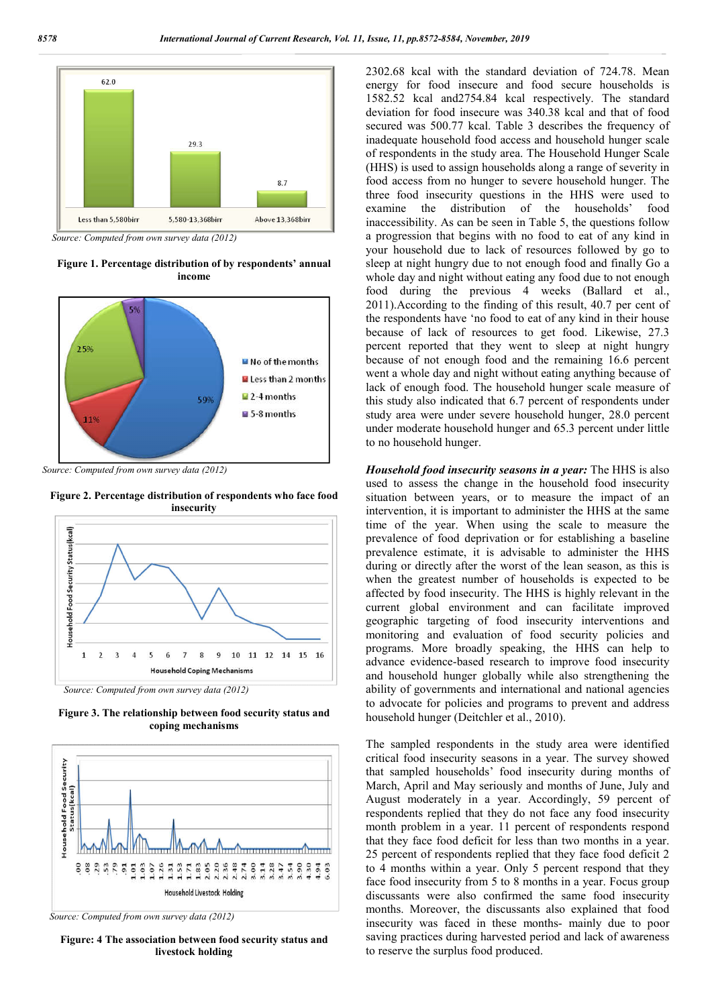

*Source: Computed from own survey data (2012)*

**Figure 1. Percentage distribution of by respondents' annual income**



*Source: Computed from own survey data (2012)*

**Figure 2. Percentage distribution of respondents who face food insecurity**



*Source: Computed from own survey data (2012)*

**Figure 3. The relationship between food security status and coping mechanisms**



 *Source: Computed from own survey data (2012)*

**Figure: 4 The association between food security status and livestock holding**

2302.68 kcal with the standard deviation of 724.78. Mean energy for food insecure and food secure households is 1582.52 kcal and2754.84 kcal respectively. The standard deviation for food insecure was 340.38 kcal and that of food secured was 500.77 kcal. Table 3 describes the frequency of inadequate household food access and household hunger scale of respondents in the study area. The Household Hunger Scale (HHS) is used to assign households along a range of severity in food access from no hunger to severe household hunger. The three food insecurity questions in the HHS were used to examine the distribution of the households' food inaccessibility. As can be seen in Table 5, the questions follow a progression that begins with no food to eat of any kind in your household due to lack of resources followed by go to sleep at night hungry due to not enough food and finally Go a whole day and night without eating any food due to not enough food during the previous 4 weeks (Ballard et al., 2011).According to the finding of this result, 40.7 per cent of the respondents have 'no food to eat of any kind in their house because of lack of resources to get food. Likewise, 27.3 percent reported that they went to sleep at night hungry because of not enough food and the remaining 16.6 percent went a whole day and night without eating anything because of lack of enough food. The household hunger scale measure of this study also indicated that 6.7 percent of respondents under study area were under severe household hunger, 28.0 percent under moderate household hunger and 65.3 percent under little to no household hunger.

*Household food insecurity seasons in a year:* The HHS is also used to assess the change in the household food insecurity situation between years, or to measure the impact of an intervention, it is important to administer the HHS at the same time of the year. When using the scale to measure the prevalence of food deprivation or for establishing a baseline prevalence estimate, it is advisable to administer the HHS during or directly after the worst of the lean season, as this is when the greatest number of households is expected to be affected by food insecurity. The HHS is highly relevant in the current global environment and can facilitate improved geographic targeting of food insecurity interventions and monitoring and evaluation of food security policies and programs. More broadly speaking, the HHS can help to advance evidence-based research to improve food insecurity and household hunger globally while also strengthening the ability of governments and international and national agencies to advocate for policies and programs to prevent and address household hunger (Deitchler et al., 2010).

The sampled respondents in the study area were identified critical food insecurity seasons in a year. The survey showed that sampled households' food insecurity during months of March, April and May seriously and months of June, July and August moderately in a year. Accordingly, 59 percent of respondents replied that they do not face any food insecurity month problem in a year. 11 percent of respondents respond that they face food deficit for less than two months in a year. 25 percent of respondents replied that they face food deficit 2 to 4 months within a year. Only 5 percent respond that they face food insecurity from 5 to 8 months in a year. Focus group discussants were also confirmed the same food insecurity months. Moreover, the discussants also explained that food insecurity was faced in these months- mainly due to poor saving practices during harvested period and lack of awareness to reserve the surplus food produced.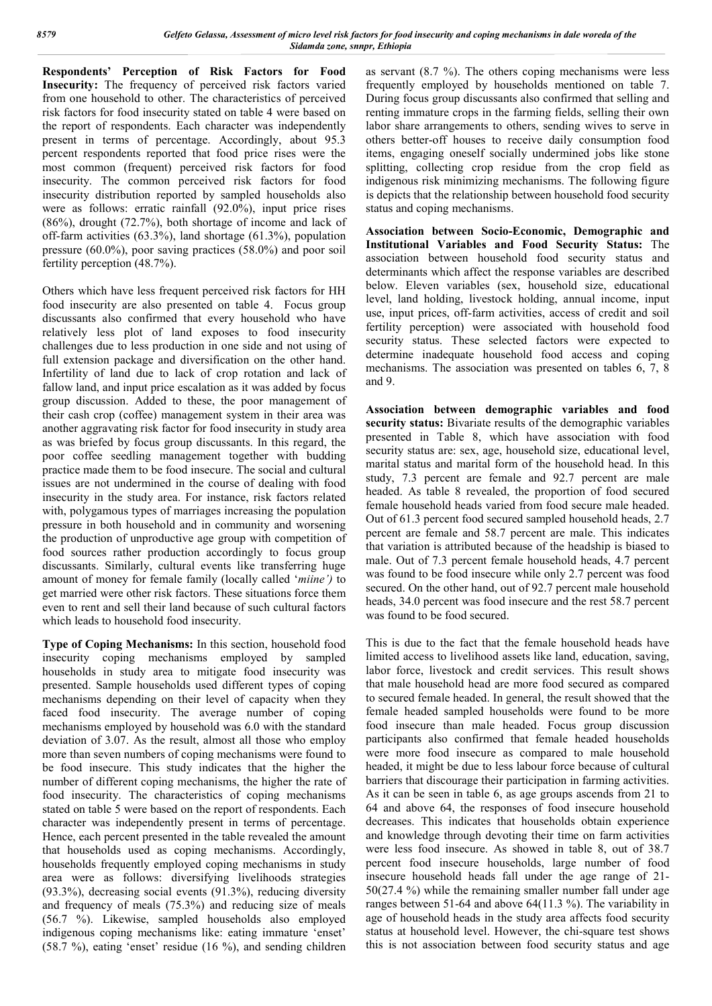**Respondents' Perception of Risk Factors for Food Insecurity:** The frequency of perceived risk factors varied from one household to other. The characteristics of perceived risk factors for food insecurity stated on table 4 were based on the report of respondents. Each character was independently present in terms of percentage. Accordingly, about 95.3 percent respondents reported that food price rises were the most common (frequent) perceived risk factors for food insecurity. The common perceived risk factors for food insecurity distribution reported by sampled households also were as follows: erratic rainfall (92.0%), input price rises (86%), drought (72.7%), both shortage of income and lack of off-farm activities (63.3%), land shortage (61.3%), population pressure (60.0%), poor saving practices (58.0%) and poor soil fertility perception (48.7%).

Others which have less frequent perceived risk factors for HH food insecurity are also presented on table 4. Focus group discussants also confirmed that every household who have relatively less plot of land exposes to food insecurity challenges due to less production in one side and not using of full extension package and diversification on the other hand. Infertility of land due to lack of crop rotation and lack of fallow land, and input price escalation as it was added by focus group discussion. Added to these, the poor management of their cash crop (coffee) management system in their area was another aggravating risk factor for food insecurity in study area as was briefed by focus group discussants. In this regard, the poor coffee seedling management together with budding practice made them to be food insecure. The social and cultural issues are not undermined in the course of dealing with food insecurity in the study area. For instance, risk factors related with, polygamous types of marriages increasing the population pressure in both household and in community and worsening the production of unproductive age group with competition of food sources rather production accordingly to focus group discussants. Similarly, cultural events like transferring huge amount of money for female family (locally called '*miine')* to get married were other risk factors. These situations force them even to rent and sell their land because of such cultural factors which leads to household food insecurity.

**Type of Coping Mechanisms:** In this section, household food insecurity coping mechanisms employed by sampled households in study area to mitigate food insecurity was presented. Sample households used different types of coping mechanisms depending on their level of capacity when they faced food insecurity. The average number of coping mechanisms employed by household was 6.0 with the standard deviation of 3.07. As the result, almost all those who employ more than seven numbers of coping mechanisms were found to be food insecure. This study indicates that the higher the number of different coping mechanisms, the higher the rate of food insecurity. The characteristics of coping mechanisms stated on table 5 were based on the report of respondents. Each character was independently present in terms of percentage. Hence, each percent presented in the table revealed the amount that households used as coping mechanisms. Accordingly, households frequently employed coping mechanisms in study area were as follows: diversifying livelihoods strategies (93.3%), decreasing social events (91.3%), reducing diversity and frequency of meals (75.3%) and reducing size of meals (56.7 %). Likewise, sampled households also employed indigenous coping mechanisms like: eating immature 'enset' (58.7 %), eating 'enset' residue (16 %), and sending children as servant (8.7 %). The others coping mechanisms were less frequently employed by households mentioned on table 7. During focus group discussants also confirmed that selling and renting immature crops in the farming fields, selling their own labor share arrangements to others, sending wives to serve in others better-off houses to receive daily consumption food items, engaging oneself socially undermined jobs like stone splitting, collecting crop residue from the crop field as indigenous risk minimizing mechanisms. The following figure is depicts that the relationship between household food security status and coping mechanisms.

**Association between Socio-Economic, Demographic and Institutional Variables and Food Security Status:** The association between household food security status and determinants which affect the response variables are described below. Eleven variables (sex, household size, educational level, land holding, livestock holding, annual income, input use, input prices, off-farm activities, access of credit and soil fertility perception) were associated with household food security status. These selected factors were expected to determine inadequate household food access and coping mechanisms. The association was presented on tables 6, 7, 8 and 9.

**Association between demographic variables and food security status:** Bivariate results of the demographic variables presented in Table 8, which have association with food security status are: sex, age, household size, educational level, marital status and marital form of the household head. In this study, 7.3 percent are female and 92.7 percent are male headed. As table 8 revealed, the proportion of food secured female household heads varied from food secure male headed. Out of 61.3 percent food secured sampled household heads, 2.7 percent are female and 58.7 percent are male. This indicates that variation is attributed because of the headship is biased to male. Out of 7.3 percent female household heads, 4.7 percent was found to be food insecure while only 2.7 percent was food secured. On the other hand, out of 92.7 percent male household heads, 34.0 percent was food insecure and the rest 58.7 percent was found to be food secured.

This is due to the fact that the female household heads have limited access to livelihood assets like land, education, saving, labor force, livestock and credit services. This result shows that male household head are more food secured as compared to secured female headed. In general, the result showed that the female headed sampled households were found to be more food insecure than male headed. Focus group discussion participants also confirmed that female headed households were more food insecure as compared to male household headed, it might be due to less labour force because of cultural barriers that discourage their participation in farming activities. As it can be seen in table 6, as age groups ascends from 21 to 64 and above 64, the responses of food insecure household decreases. This indicates that households obtain experience and knowledge through devoting their time on farm activities were less food insecure. As showed in table 8, out of 38.7 percent food insecure households, large number of food insecure household heads fall under the age range of 21- 50(27.4 %) while the remaining smaller number fall under age ranges between 51-64 and above 64(11.3 %). The variability in age of household heads in the study area affects food security status at household level. However, the chi-square test shows this is not association between food security status and age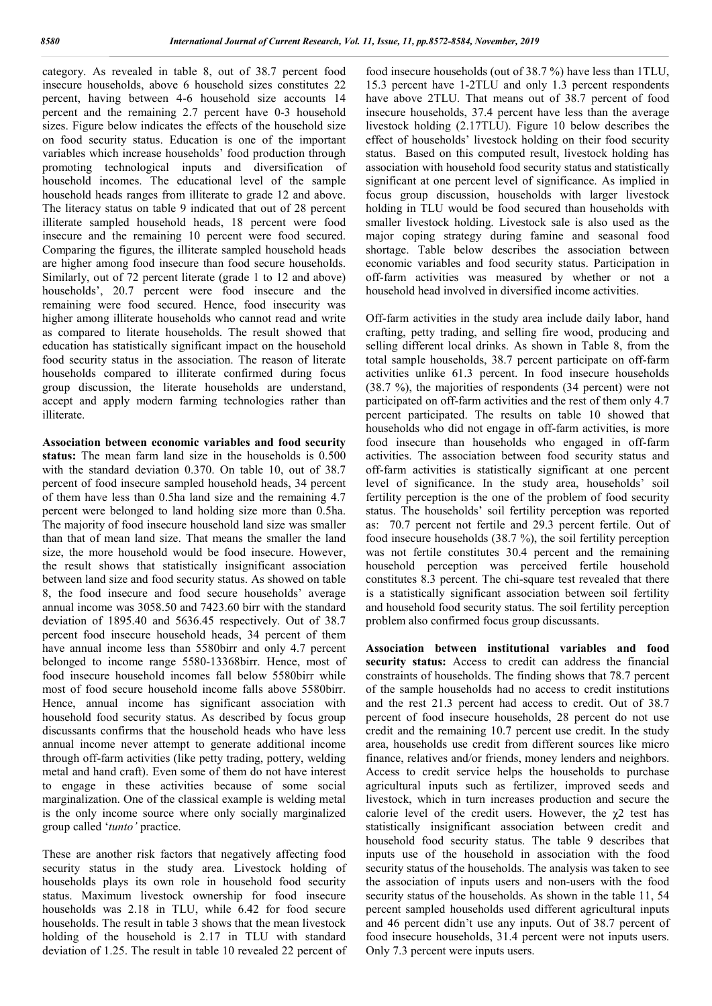category. As revealed in table 8, out of 38.7 percent food insecure households, above 6 household sizes constitutes 22 percent, having between 4-6 household size accounts 14 percent and the remaining 2.7 percent have 0-3 household sizes. Figure below indicates the effects of the household size on food security status. Education is one of the important variables which increase households' food production through promoting technological inputs and diversification of household incomes. The educational level of the sample household heads ranges from illiterate to grade 12 and above. The literacy status on table 9 indicated that out of 28 percent illiterate sampled household heads, 18 percent were food insecure and the remaining 10 percent were food secured. Comparing the figures, the illiterate sampled household heads are higher among food insecure than food secure households. Similarly, out of 72 percent literate (grade 1 to 12 and above) households', 20.7 percent were food insecure and the remaining were food secured. Hence, food insecurity was higher among illiterate households who cannot read and write as compared to literate households. The result showed that education has statistically significant impact on the household food security status in the association. The reason of literate households compared to illiterate confirmed during focus group discussion, the literate households are understand, accept and apply modern farming technologies rather than illiterate.

**Association between economic variables and food security status:** The mean farm land size in the households is 0.500 with the standard deviation 0.370. On table 10, out of 38.7 percent of food insecure sampled household heads, 34 percent of them have less than 0.5ha land size and the remaining 4.7 percent were belonged to land holding size more than 0.5ha. The majority of food insecure household land size was smaller than that of mean land size. That means the smaller the land size, the more household would be food insecure. However, the result shows that statistically insignificant association between land size and food security status. As showed on table 8, the food insecure and food secure households' average annual income was 3058.50 and 7423.60 birr with the standard deviation of 1895.40 and 5636.45 respectively. Out of 38.7 percent food insecure household heads, 34 percent of them have annual income less than 5580birr and only 4.7 percent belonged to income range 5580-13368birr. Hence, most of food insecure household incomes fall below 5580birr while most of food secure household income falls above 5580birr. Hence, annual income has significant association with household food security status. As described by focus group discussants confirms that the household heads who have less annual income never attempt to generate additional income through off-farm activities (like petty trading, pottery, welding metal and hand craft). Even some of them do not have interest to engage in these activities because of some social marginalization. One of the classical example is welding metal is the only income source where only socially marginalized group called '*tunto'* practice.

These are another risk factors that negatively affecting food security status in the study area. Livestock holding of households plays its own role in household food security status. Maximum livestock ownership for food insecure households was 2.18 in TLU, while 6.42 for food secure households. The result in table 3 shows that the mean livestock holding of the household is 2.17 in TLU with standard deviation of 1.25. The result in table 10 revealed 22 percent of food insecure households (out of 38.7 %) have less than 1TLU, 15.3 percent have 1-2TLU and only 1.3 percent respondents have above 2TLU. That means out of 38.7 percent of food insecure households, 37.4 percent have less than the average livestock holding (2.17TLU). Figure 10 below describes the effect of households' livestock holding on their food security status. Based on this computed result, livestock holding has association with household food security status and statistically significant at one percent level of significance. As implied in focus group discussion, households with larger livestock holding in TLU would be food secured than households with smaller livestock holding. Livestock sale is also used as the major coping strategy during famine and seasonal food shortage. Table below describes the association between economic variables and food security status. Participation in off-farm activities was measured by whether or not a household head involved in diversified income activities.

Off-farm activities in the study area include daily labor, hand crafting, petty trading, and selling fire wood, producing and selling different local drinks. As shown in Table 8, from the total sample households, 38.7 percent participate on off-farm activities unlike 61.3 percent. In food insecure households (38.7 %), the majorities of respondents (34 percent) were not participated on off-farm activities and the rest of them only 4.7 percent participated. The results on table 10 showed that households who did not engage in off-farm activities, is more food insecure than households who engaged in off-farm activities. The association between food security status and off-farm activities is statistically significant at one percent level of significance. In the study area, households' soil fertility perception is the one of the problem of food security status. The households' soil fertility perception was reported as: 70.7 percent not fertile and 29.3 percent fertile. Out of food insecure households (38.7 %), the soil fertility perception was not fertile constitutes 30.4 percent and the remaining household perception was perceived fertile household constitutes 8.3 percent. The chi-square test revealed that there is a statistically significant association between soil fertility and household food security status. The soil fertility perception problem also confirmed focus group discussants.

**Association between institutional variables and food security status:** Access to credit can address the financial constraints of households. The finding shows that 78.7 percent of the sample households had no access to credit institutions and the rest 21.3 percent had access to credit. Out of 38.7 percent of food insecure households, 28 percent do not use credit and the remaining 10.7 percent use credit. In the study area, households use credit from different sources like micro finance, relatives and/or friends, money lenders and neighbors. Access to credit service helps the households to purchase agricultural inputs such as fertilizer, improved seeds and livestock, which in turn increases production and secure the calorie level of the credit users. However, the  $\chi$ 2 test has statistically insignificant association between credit and household food security status. The table 9 describes that inputs use of the household in association with the food security status of the households. The analysis was taken to see the association of inputs users and non-users with the food security status of the households. As shown in the table 11, 54 percent sampled households used different agricultural inputs and 46 percent didn't use any inputs. Out of 38.7 percent of food insecure households, 31.4 percent were not inputs users. Only 7.3 percent were inputs users.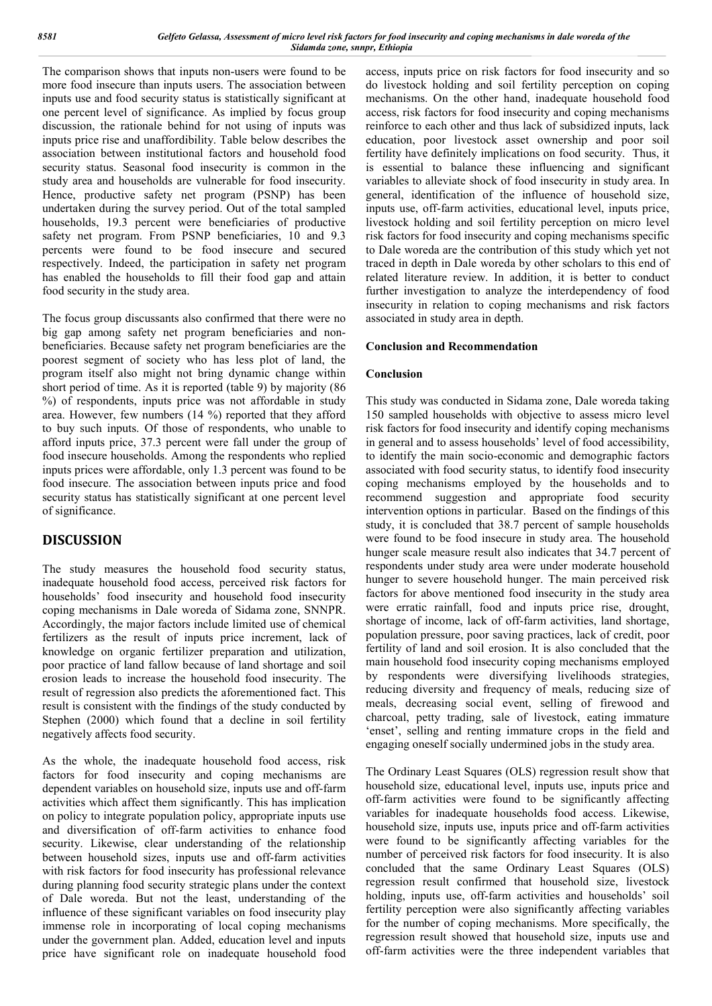The comparison shows that inputs non-users were found to be more food insecure than inputs users. The association between inputs use and food security status is statistically significant at one percent level of significance. As implied by focus group discussion, the rationale behind for not using of inputs was inputs price rise and unaffordibility. Table below describes the association between institutional factors and household food security status. Seasonal food insecurity is common in the study area and households are vulnerable for food insecurity. Hence, productive safety net program (PSNP) has been undertaken during the survey period. Out of the total sampled households, 19.3 percent were beneficiaries of productive safety net program. From PSNP beneficiaries, 10 and 9.3 percents were found to be food insecure and secured respectively. Indeed, the participation in safety net program has enabled the households to fill their food gap and attain food security in the study area.

The focus group discussants also confirmed that there were no big gap among safety net program beneficiaries and nonbeneficiaries. Because safety net program beneficiaries are the poorest segment of society who has less plot of land, the program itself also might not bring dynamic change within short period of time. As it is reported (table 9) by majority (86 %) of respondents, inputs price was not affordable in study area. However, few numbers (14 %) reported that they afford to buy such inputs. Of those of respondents, who unable to afford inputs price, 37.3 percent were fall under the group of food insecure households. Among the respondents who replied inputs prices were affordable, only 1.3 percent was found to be food insecure. The association between inputs price and food security status has statistically significant at one percent level of significance.

# **DISCUSSION**

The study measures the household food security status, inadequate household food access, perceived risk factors for households' food insecurity and household food insecurity coping mechanisms in Dale woreda of Sidama zone, SNNPR. Accordingly, the major factors include limited use of chemical fertilizers as the result of inputs price increment, lack of knowledge on organic fertilizer preparation and utilization, poor practice of land fallow because of land shortage and soil erosion leads to increase the household food insecurity. The result of regression also predicts the aforementioned fact. This result is consistent with the findings of the study conducted by Stephen (2000) which found that a decline in soil fertility negatively affects food security.

As the whole, the inadequate household food access, risk factors for food insecurity and coping mechanisms are dependent variables on household size, inputs use and off-farm activities which affect them significantly. This has implication on policy to integrate population policy, appropriate inputs use and diversification of off-farm activities to enhance food security. Likewise, clear understanding of the relationship between household sizes, inputs use and off-farm activities with risk factors for food insecurity has professional relevance during planning food security strategic plans under the context of Dale woreda. But not the least, understanding of the influence of these significant variables on food insecurity play immense role in incorporating of local coping mechanisms under the government plan. Added, education level and inputs price have significant role on inadequate household food

access, inputs price on risk factors for food insecurity and so do livestock holding and soil fertility perception on coping mechanisms. On the other hand, inadequate household food access, risk factors for food insecurity and coping mechanisms reinforce to each other and thus lack of subsidized inputs, lack education, poor livestock asset ownership and poor soil fertility have definitely implications on food security. Thus, it is essential to balance these influencing and significant variables to alleviate shock of food insecurity in study area. In general, identification of the influence of household size, inputs use, off-farm activities, educational level, inputs price, livestock holding and soil fertility perception on micro level risk factors for food insecurity and coping mechanisms specific to Dale woreda are the contribution of this study which yet not traced in depth in Dale woreda by other scholars to this end of related literature review. In addition, it is better to conduct further investigation to analyze the interdependency of food insecurity in relation to coping mechanisms and risk factors associated in study area in depth.

## **Conclusion and Recommendation**

## **Conclusion**

This study was conducted in Sidama zone, Dale woreda taking 150 sampled households with objective to assess micro level risk factors for food insecurity and identify coping mechanisms in general and to assess households' level of food accessibility, to identify the main socio-economic and demographic factors associated with food security status, to identify food insecurity coping mechanisms employed by the households and to recommend suggestion and appropriate food security intervention options in particular. Based on the findings of this study, it is concluded that 38.7 percent of sample households were found to be food insecure in study area. The household hunger scale measure result also indicates that 34.7 percent of respondents under study area were under moderate household hunger to severe household hunger. The main perceived risk factors for above mentioned food insecurity in the study area were erratic rainfall, food and inputs price rise, drought, shortage of income, lack of off-farm activities, land shortage, population pressure, poor saving practices, lack of credit, poor fertility of land and soil erosion. It is also concluded that the main household food insecurity coping mechanisms employed by respondents were diversifying livelihoods strategies, reducing diversity and frequency of meals, reducing size of meals, decreasing social event, selling of firewood and charcoal, petty trading, sale of livestock, eating immature 'enset', selling and renting immature crops in the field and engaging oneself socially undermined jobs in the study area.

The Ordinary Least Squares (OLS) regression result show that household size, educational level, inputs use, inputs price and off-farm activities were found to be significantly affecting variables for inadequate households food access. Likewise, household size, inputs use, inputs price and off-farm activities were found to be significantly affecting variables for the number of perceived risk factors for food insecurity. It is also concluded that the same Ordinary Least Squares (OLS) regression result confirmed that household size, livestock holding, inputs use, off-farm activities and households' soil fertility perception were also significantly affecting variables for the number of coping mechanisms. More specifically, the regression result showed that household size, inputs use and off-farm activities were the three independent variables that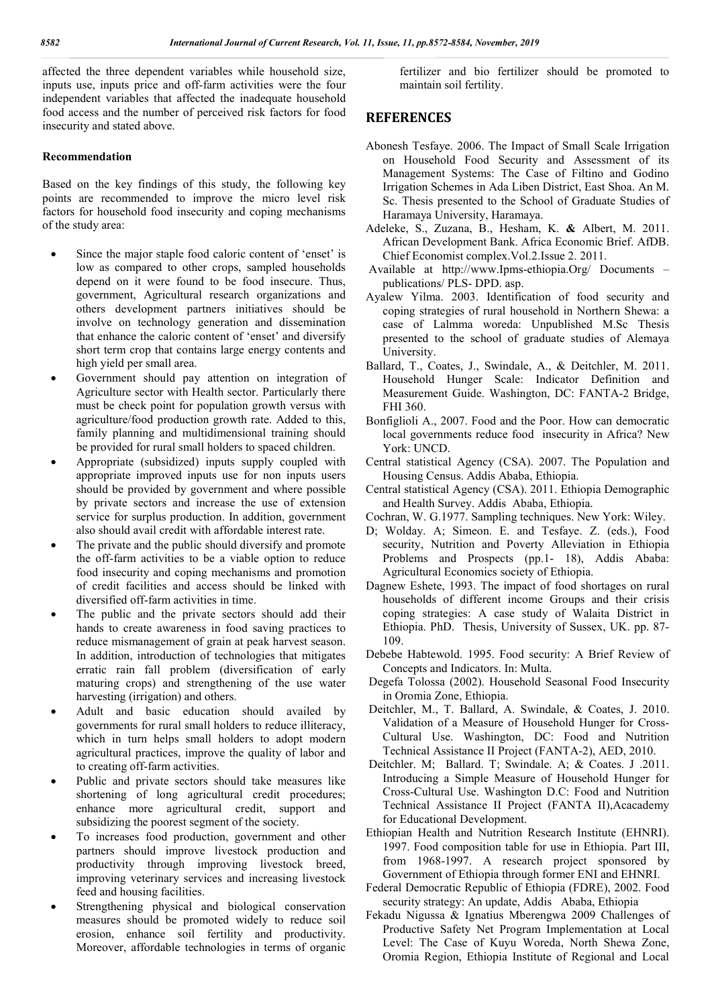affected the three dependent variables while household size, inputs use, inputs price and off-farm activities were the four independent variables that affected the inadequate household food access and the number of perceived risk factors for food insecurity and stated above.

## **Recommendation**

Based on the key findings of this study, the following key points are recommended to improve the micro level risk factors for household food insecurity and coping mechanisms of the study area:

- Since the major staple food caloric content of 'enset' is low as compared to other crops, sampled households depend on it were found to be food insecure. Thus, government, Agricultural research organizations and others development partners initiatives should be involve on technology generation and dissemination that enhance the caloric content of 'enset' and diversify short term crop that contains large energy contents and high yield per small area.
- Government should pay attention on integration of Agriculture sector with Health sector. Particularly there must be check point for population growth versus with agriculture/food production growth rate. Added to this, family planning and multidimensional training should be provided for rural small holders to spaced children.
- Appropriate (subsidized) inputs supply coupled with appropriate improved inputs use for non inputs users should be provided by government and where possible by private sectors and increase the use of extension service for surplus production. In addition, government also should avail credit with affordable interest rate.
- The private and the public should diversify and promote the off-farm activities to be a viable option to reduce food insecurity and coping mechanisms and promotion of credit facilities and access should be linked with diversified off-farm activities in time.
- The public and the private sectors should add their hands to create awareness in food saving practices to reduce mismanagement of grain at peak harvest season. In addition, introduction of technologies that mitigates erratic rain fall problem (diversification of early maturing crops) and strengthening of the use water harvesting (irrigation) and others.
- Adult and basic education should availed by governments for rural small holders to reduce illiteracy, which in turn helps small holders to adopt modern agricultural practices, improve the quality of labor and to creating off-farm activities.
- Public and private sectors should take measures like shortening of long agricultural credit procedures; enhance more agricultural credit, support and subsidizing the poorest segment of the society.
- To increases food production, government and other partners should improve livestock production and productivity through improving livestock breed, improving veterinary services and increasing livestock feed and housing facilities.
- Strengthening physical and biological conservation measures should be promoted widely to reduce soil erosion, enhance soil fertility and productivity. Moreover, affordable technologies in terms of organic

fertilizer and bio fertilizer should be promoted to maintain soil fertility.

# **REFERENCES**

- Abonesh Tesfaye. 2006. The Impact of Small Scale Irrigation on Household Food Security and Assessment of its Management Systems: The Case of Filtino and Godino Irrigation Schemes in Ada Liben District, East Shoa. An M. Sc. Thesis presented to the School of Graduate Studies of Haramaya University, Haramaya.
- Adeleke, S., Zuzana, B., Hesham, K. **&** Albert, M. 2011. African Development Bank. Africa Economic Brief. AfDB. Chief Economist complex.Vol.2.Issue 2. 2011.
- Available at http://www.Ipms-ethiopia.Org/ Documents publications/ PLS- DPD. asp.
- Ayalew Yilma. 2003. Identification of food security and coping strategies of rural household in Northern Shewa: a case of Lalmma woreda: Unpublished M.Sc Thesis presented to the school of graduate studies of Alemaya University.
- Ballard, T., Coates, J., Swindale, A., & Deitchler, M. 2011. Household Hunger Scale: Indicator Definition and Measurement Guide. Washington, DC: FANTA-2 Bridge, FHI 360.
- Bonfiglioli A., 2007. Food and the Poor. How can democratic local governments reduce food insecurity in Africa? New York: UNCD.
- Central statistical Agency (CSA). 2007. The Population and Housing Census. Addis Ababa, Ethiopia.
- Central statistical Agency (CSA). 2011. Ethiopia Demographic and Health Survey. Addis Ababa, Ethiopia.
- Cochran, W. G.1977. Sampling techniques. New York: Wiley.
- D; Wolday. A; Simeon. E. and Tesfaye. Z. (eds.), Food security, Nutrition and Poverty Alleviation in Ethiopia Problems and Prospects (pp.1- 18), Addis Ababa: Agricultural Economics society of Ethiopia.
- Dagnew Eshete, 1993. The impact of food shortages on rural households of different income Groups and their crisis coping strategies: A case study of Walaita District in Ethiopia. PhD. Thesis, University of Sussex, UK. pp. 87- 109.
- Debebe Habtewold. 1995. Food security: A Brief Review of Concepts and Indicators. In: Multa.
- Degefa Tolossa (2002). Household Seasonal Food Insecurity in Oromia Zone, Ethiopia.
- Deitchler, M., T. Ballard, A. Swindale, & Coates, J. 2010. Validation of a Measure of Household Hunger for Cross-Cultural Use. Washington, DC: Food and Nutrition Technical Assistance II Project (FANTA-2), AED, 2010.
- Deitchler. M; Ballard. T; Swindale. A; & Coates. J .2011. Introducing a Simple Measure of Household Hunger for Cross-Cultural Use. Washington D.C: Food and Nutrition Technical Assistance II Project (FANTA II),Acacademy for Educational Development.
- Ethiopian Health and Nutrition Research Institute (EHNRI). 1997. Food composition table for use in Ethiopia. Part III, from 1968-1997. A research project sponsored by Government of Ethiopia through former ENI and EHNRI.
- Federal Democratic Republic of Ethiopia (FDRE), 2002. Food security strategy: An update, Addis Ababa, Ethiopia
- Fekadu Nigussa & Ignatius Mberengwa 2009 Challenges of Productive Safety Net Program Implementation at Local Level: The Case of Kuyu Woreda, North Shewa Zone, Oromia Region, Ethiopia Institute of Regional and Local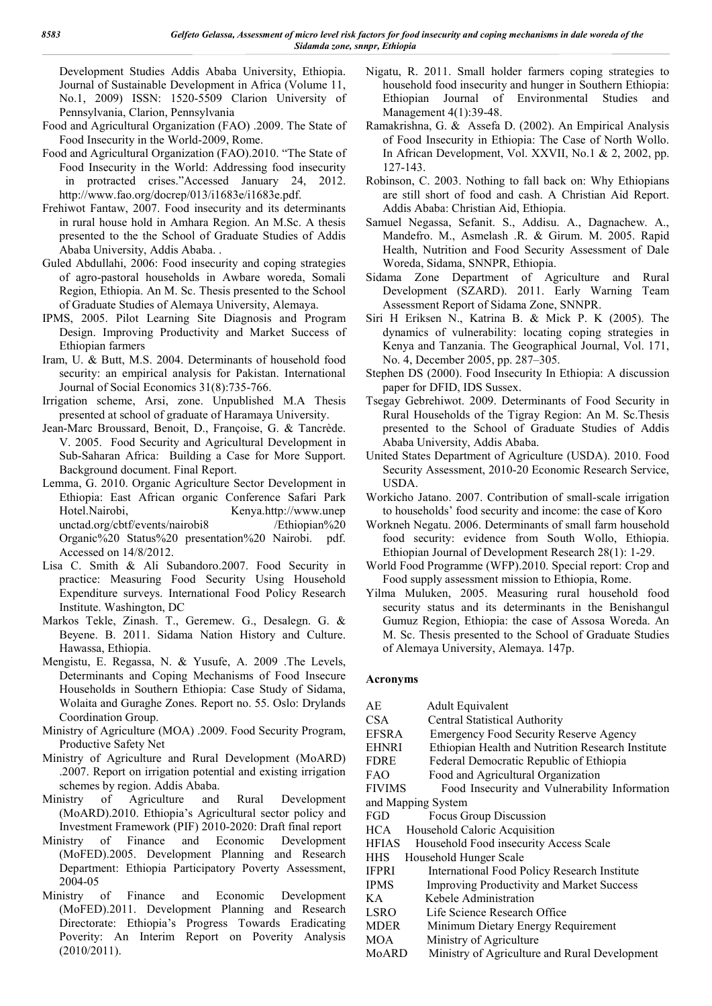Development Studies Addis Ababa University, Ethiopia. Journal of Sustainable Development in Africa (Volume 11, No.1, 2009) ISSN: 1520-5509 Clarion University of Pennsylvania, Clarion, Pennsylvania

- Food and Agricultural Organization (FAO) .2009. The State of Food Insecurity in the World-2009, Rome.
- Food and Agricultural Organization (FAO).2010. "The State of Food Insecurity in the World: Addressing food insecurity in protracted crises."Accessed January 24, 2012. http://www.fao.org/docrep/013/i1683e/i1683e.pdf.
- Frehiwot Fantaw, 2007. Food insecurity and its determinants in rural house hold in Amhara Region. An M.Sc. A thesis presented to the the School of Graduate Studies of Addis Ababa University, Addis Ababa. .
- Guled Abdullahi, 2006: Food insecurity and coping strategies of agro-pastoral households in Awbare woreda, Somali Region, Ethiopia. An M. Sc. Thesis presented to the School of Graduate Studies of Alemaya University, Alemaya.
- IPMS, 2005. Pilot Learning Site Diagnosis and Program Design. Improving Productivity and Market Success of Ethiopian farmers
- Iram, U. & Butt, M.S. 2004. Determinants of household food security: an empirical analysis for Pakistan. International Journal of Social Economics 31(8):735-766.
- Irrigation scheme, Arsi, zone. Unpublished M.A Thesis presented at school of graduate of Haramaya University.
- Jean-Marc Broussard, Benoit, D., Françoise, G. & Tancrède. V. 2005. Food Security and Agricultural Development in Sub-Saharan Africa: Building a Case for More Support. Background document. Final Report.
- Lemma, G. 2010. Organic Agriculture Sector Development in Ethiopia: East African organic Conference Safari Park Hotel.Nairobi, Kenya.http://www.unep unctad.org/cbtf/events/nairobi8 /Ethiopian%20 Organic%20 Status%20 presentation%20 Nairobi. pdf. Accessed on 14/8/2012.
- Lisa C. Smith & Ali Subandoro.2007. Food Security in practice: Measuring Food Security Using Household Expenditure surveys. International Food Policy Research Institute. Washington, DC
- Markos Tekle, Zinash. T., Geremew. G., Desalegn. G. & Beyene. B. 2011. Sidama Nation History and Culture. Hawassa, Ethiopia.
- Mengistu, E. Regassa, N. & Yusufe, A. 2009 .The Levels, Determinants and Coping Mechanisms of Food Insecure Households in Southern Ethiopia: Case Study of Sidama, Wolaita and Guraghe Zones. Report no. 55. Oslo: Drylands Coordination Group.
- Ministry of Agriculture (MOA) .2009. Food Security Program, Productive Safety Net
- Ministry of Agriculture and Rural Development (MoARD) .2007. Report on irrigation potential and existing irrigation schemes by region. Addis Ababa.
- Ministry of Agriculture and Rural Development (MoARD).2010. Ethiopia's Agricultural sector policy and Investment Framework (PIF) 2010-2020: Draft final report
- Ministry of Finance and Economic Development (MoFED).2005. Development Planning and Research Department: Ethiopia Participatory Poverty Assessment, 2004-05
- Ministry of Finance and Economic Development (MoFED).2011. Development Planning and Research Directorate: Ethiopia's Progress Towards Eradicating Poverity: An Interim Report on Poverity Analysis (2010/2011).
- Nigatu, R. 2011. Small holder farmers coping strategies to household food insecurity and hunger in Southern Ethiopia: Ethiopian Journal of Environmental Studies and Management 4(1):39-48.
- Ramakrishna, G. & Assefa D. (2002). An Empirical Analysis of Food Insecurity in Ethiopia: The Case of North Wollo. In African Development, Vol. XXVII, No.1 & 2, 2002, pp. 127-143.
- Robinson, C. 2003. Nothing to fall back on: Why Ethiopians are still short of food and cash. A Christian Aid Report. Addis Ababa: Christian Aid, Ethiopia.
- Samuel Negassa, Sefanit. S., Addisu. A., Dagnachew. A., Mandefro. M., Asmelash .R. & Girum. M. 2005. Rapid Health, Nutrition and Food Security Assessment of Dale Woreda, Sidama, SNNPR, Ethiopia.
- Sidama Zone Department of Agriculture and Rural Development (SZARD). 2011. Early Warning Team Assessment Report of Sidama Zone, SNNPR.
- Siri H Eriksen N., Katrina B. & Mick P. K (2005). The dynamics of vulnerability: locating coping strategies in Kenya and Tanzania. The Geographical Journal, Vol. 171, No. 4, December 2005, pp. 287–305.
- Stephen DS (2000). Food Insecurity In Ethiopia: A discussion paper for DFID, IDS Sussex.
- Tsegay Gebrehiwot. 2009. Determinants of Food Security in Rural Households of the Tigray Region: An M. Sc.Thesis presented to the School of Graduate Studies of Addis Ababa University, Addis Ababa.
- United States Department of Agriculture (USDA). 2010. Food Security Assessment, 2010-20 Economic Research Service, USDA.
- Workicho Jatano. 2007. Contribution of small-scale irrigation to households' food security and income: the case of Koro
- Workneh Negatu. 2006. Determinants of small farm household food security: evidence from South Wollo, Ethiopia. Ethiopian Journal of Development Research 28(1): 1-29.
- World Food Programme (WFP).2010. Special report: Crop and Food supply assessment mission to Ethiopia, Rome.
- Yilma Muluken, 2005. Measuring rural household food security status and its determinants in the Benishangul Gumuz Region, Ethiopia: the case of Assosa Woreda. An M. Sc. Thesis presented to the School of Graduate Studies of Alemaya University, Alemaya. 147p.

#### **Acronyms**

| AE.           | Adult Equivalent                                  |
|---------------|---------------------------------------------------|
| <b>CSA</b>    | Central Statistical Authority                     |
| <b>EFSRA</b>  | <b>Emergency Food Security Reserve Agency</b>     |
| <b>EHNRI</b>  | Ethiopian Health and Nutrition Research Institute |
| <b>FDRE</b>   | Federal Democratic Republic of Ethiopia           |
| <b>FAO</b>    | Food and Agricultural Organization                |
| <b>FIVIMS</b> | Food Insecurity and Vulnerability Information     |
|               | and Mapping System                                |
| <b>FGD</b>    | Focus Group Discussion                            |
| HCA –         | Household Caloric Acquisition                     |
| <b>HFIAS</b>  | Household Food insecurity Access Scale            |
| HHS           | Household Hunger Scale                            |
| <b>IFPRI</b>  | International Food Policy Research Institute      |
| <b>IPMS</b>   | <b>Improving Productivity and Market Success</b>  |
| KА            | Kebele Administration                             |
| LSRO          | Life Science Research Office                      |
| <b>MDER</b>   | Minimum Dietary Energy Requirement                |
| <b>MOA</b>    | Ministry of Agriculture                           |
| MoARD         | Ministry of Agriculture and Rural Development     |
|               |                                                   |
|               |                                                   |